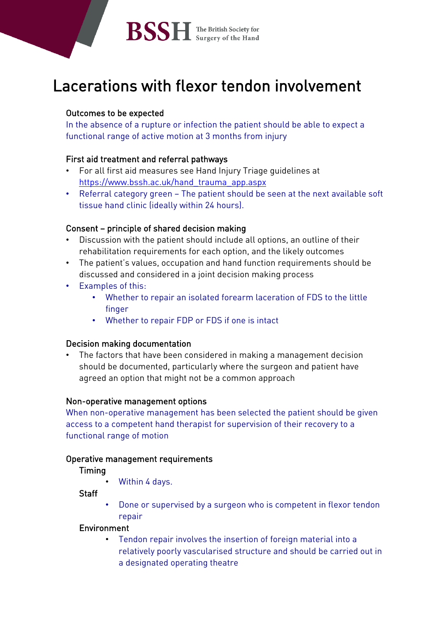# Lacerations with flexor tendon involvement

# Outcomes to be expected

In the absence of a rupture or infection the patient should be able to expect a functional range of active motion at 3 months from injury

# First aid treatment and referral pathways

- For all first aid measures see Hand Injury Triage guidelines at [https://www.bssh.ac.uk/hand\\_trauma\\_app.aspx](https://www.bssh.ac.uk/hand_trauma_app.aspx)
- Referral category green The patient should be seen at the next available soft tissue hand clinic (ideally within 24 hours).

# Consent – principle of shared decision making

- Discussion with the patient should include all options, an outline of their rehabilitation requirements for each option, and the likely outcomes
- The patient's values, occupation and hand function requirements should be discussed and considered in a joint decision making process
- Examples of this:
	- Whether to repair an isolated forearm laceration of FDS to the little finger
	- Whether to repair FDP or FDS if one is intact

### Decision making documentation

• The factors that have been considered in making a management decision should be documented, particularly where the surgeon and patient have agreed an option that might not be a common approach

### Non-operative management options

When non-operative management has been selected the patient should be given access to a competent hand therapist for supervision of their recovery to a functional range of motion

### Operative management requirements

# Timing

• Within 4 days.

**Staff** 

• Done or supervised by a surgeon who is competent in flexor tendon repair

# Environment

• Tendon repair involves the insertion of foreign material into a relatively poorly vascularised structure and should be carried out in a designated operating theatre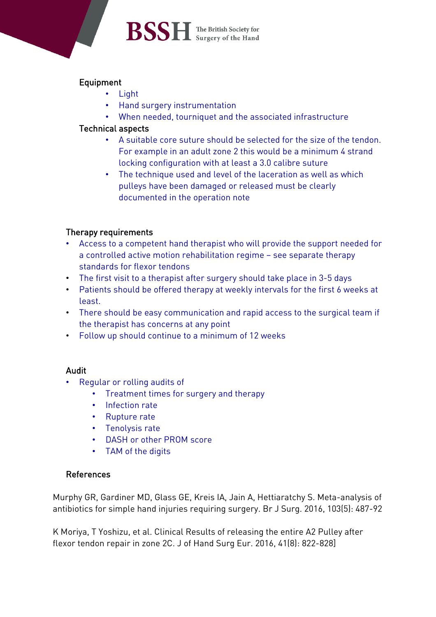# **BSSH** The British Society for

# Equipment

- Light
- Hand surgery instrumentation
- When needed, tourniquet and the associated infrastructure

## Technical aspects

- A suitable core suture should be selected for the size of the tendon. For example in an adult zone 2 this would be a minimum 4 strand locking configuration with at least a 3.0 calibre suture
- The technique used and level of the laceration as well as which pulleys have been damaged or released must be clearly documented in the operation note

### Therapy requirements

- Access to a competent hand therapist who will provide the support needed for a controlled active motion rehabilitation regime – see separate therapy standards for flexor tendons
- The first visit to a therapist after surgery should take place in 3-5 days
- Patients should be offered therapy at weekly intervals for the first 6 weeks at least.
- There should be easy communication and rapid access to the surgical team if the therapist has concerns at any point
- Follow up should continue to a minimum of 12 weeks

### Audit

- Regular or rolling audits of
	- Treatment times for surgery and therapy
	- Infection rate
	- Rupture rate
	- Tenolysis rate
	- DASH or other PROM score
	- TAM of the digits

### References

Murphy GR, Gardiner MD, Glass GE, Kreis IA, Jain A, Hettiaratchy S. Meta-analysis of antibiotics for simple hand injuries requiring surgery. Br J Surg. 2016, 103(5): 487-92

K Moriya, T Yoshizu, et al. Clinical Results of releasing the entire A2 Pulley after flexor tendon repair in zone 2C. J of Hand Surg Eur. 2016, 41(8): 822-828]